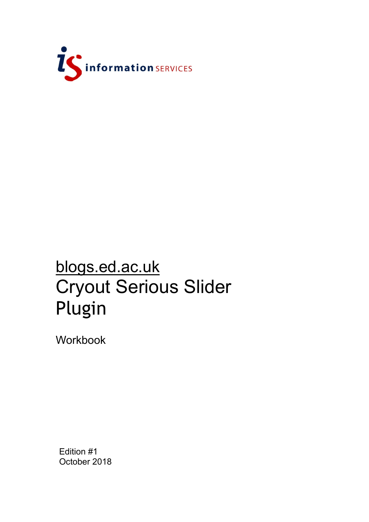

# blogs.ed.ac.uk Cryout Serious Slider Plugin

Workbook

Edition #1 October 2018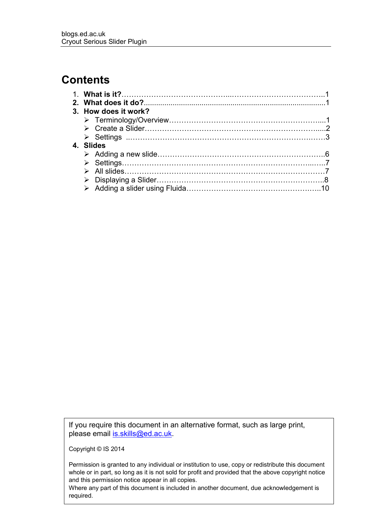# **Contents**

| 3. How does it work? |  |
|----------------------|--|
|                      |  |
|                      |  |
|                      |  |
| 4. Slides            |  |
|                      |  |
|                      |  |
|                      |  |
|                      |  |
|                      |  |
|                      |  |

If you require this document in an alternative format, such as large print, please email [is.skills@ed.ac.uk.](mailto:is.skills@ed.ac.uk)

Copyright © IS 2014

Permission is granted to any individual or institution to use, copy or redistribute this document whole or in part, so long as it is not sold for profit and provided that the above copyright notice and this permission notice appear in all copies.

Where any part of this document is included in another document, due acknowledgement is required.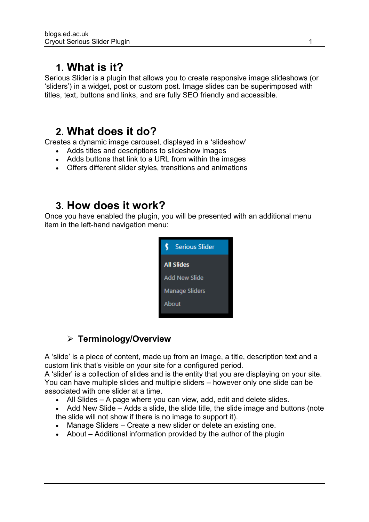# **1. What is it?**

Serious Slider is a plugin that allows you to create responsive image slideshows (or 'sliders') in a widget, post or custom post. Image slides can be superimposed with titles, text, buttons and links, and are fully SEO friendly and accessible.

## **2. What does it do?**

Creates a dynamic image carousel, displayed in a 'slideshow'

- Adds titles and descriptions to slideshow images
- Adds buttons that link to a URL from within the images
- Offers different slider styles, transitions and animations

# **3. How does it work?**

Once you have enabled the plugin, you will be presented with an additional menu item in the left-hand navigation menu:



## ➢ **Terminology/Overview**

A 'slide' is a piece of content, made up from an image, a title, description text and a custom link that's visible on your site for a configured period.

A 'slider' is a collection of slides and is the entity that you are displaying on your site. You can have multiple slides and multiple sliders – however only one slide can be associated with one slider at a time.

- All Slides A page where you can view, add, edit and delete slides.
- Add New Slide Adds a slide, the slide title, the slide image and buttons (note the slide will not show if there is no image to support it).
- Manage Sliders Create a new slider or delete an existing one.
- About Additional information provided by the author of the plugin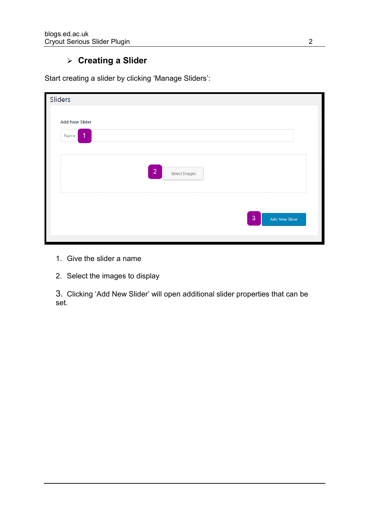#### ➢ **Creating a Slider**

| Sliders                |                                 |                                  |
|------------------------|---------------------------------|----------------------------------|
| <b>Add New Slider</b>  |                                 |                                  |
| $\overline{1}$<br>Name |                                 |                                  |
|                        |                                 |                                  |
|                        | $\overline{2}$<br>Select Images |                                  |
|                        |                                 | $\overline{3}$<br>Add New Slider |

Start creating a slider by clicking 'Manage Sliders':

- 1. Give the slider a name
- 2. Select the images to display

3. Clicking 'Add New Slider' will open additional slider properties that can be set.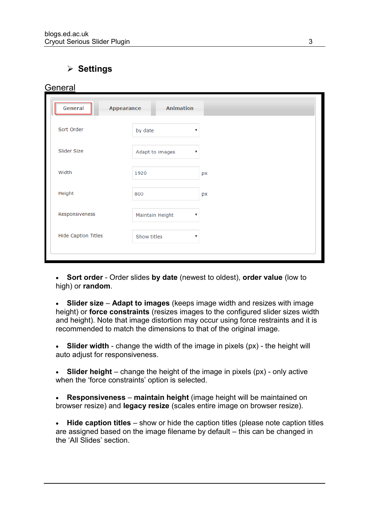### ➢ **Settings**

**General** 

| General                    | <b>Animation</b><br>Appearance |                           |
|----------------------------|--------------------------------|---------------------------|
| Sort Order                 | by date                        | ▼                         |
| Slider Size                | Adapt to images                | v                         |
| Width                      | 1920                           | px                        |
| Height                     | 800                            | px                        |
| Responsiveness             | Maintain Height                | ▼                         |
| <b>Hide Caption Titles</b> | Show titles                    | $\boldsymbol{\mathrm{v}}$ |

• **Sort order** - Order slides **by date** (newest to oldest), **order value** (low to high) or **random**.

• **Slider size – Adapt to images** (keeps image width and resizes with image height) or **force constraints** (resizes images to the configured slider sizes width and height). Note that image distortion may occur using force restraints and it is recommended to match the dimensions to that of the original image.

• **Slider width** - change the width of the image in pixels (px) - the height will auto adjust for responsiveness.

• **Slider height** – change the height of the image in pixels (px) - only active when the 'force constraints' option is selected.

• **Responsiveness** – **maintain height** (image height will be maintained on browser resize) and **legacy resize** (scales entire image on browser resize).

• **Hide caption titles** – show or hide the caption titles (please note caption titles are assigned based on the image filename by default – this can be changed in the 'All Slides' section.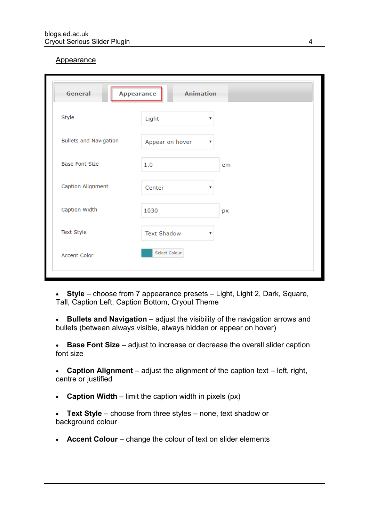#### Appearance

| General                       | <b>Animation</b><br><b>Appearance</b> |                           |
|-------------------------------|---------------------------------------|---------------------------|
| Style                         | Light                                 | $\boldsymbol{\mathrm{v}}$ |
| <b>Bullets and Navigation</b> | Appear on hover                       | ▼                         |
| <b>Base Font Size</b>         | 1.0                                   | em                        |
| Caption Alignment             | Center                                | $\boldsymbol{\mathrm{v}}$ |
| Caption Width                 | 1030                                  | px                        |
| Text Style                    | <b>Text Shadow</b>                    | v                         |
| Accent Color                  | Select Colour                         |                           |

• **Style** – choose from 7 appearance presets – Light, Light 2, Dark, Square, Tall, Caption Left, Caption Bottom, Cryout Theme

• **Bullets and Navigation** – adjust the visibility of the navigation arrows and bullets (between always visible, always hidden or appear on hover)

• **Base Font Size** – adjust to increase or decrease the overall slider caption font size

• **Caption Alignment** – adjust the alignment of the caption text – left, right, centre or justified

• **Caption Width** – limit the caption width in pixels (px)

• **Text Style** – choose from three styles – none, text shadow or background colour

• **Accent Colour** – change the colour of text on slider elements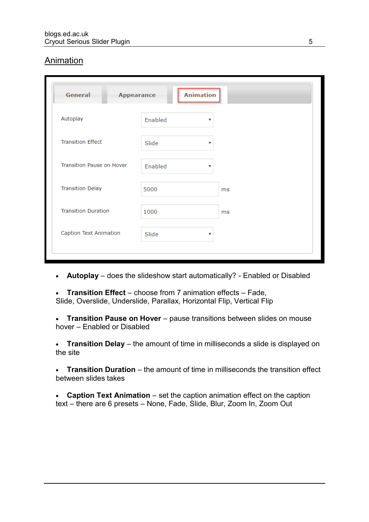#### Animation

| General                    | <b>Appearance</b> | <b>Animation</b> |  |
|----------------------------|-------------------|------------------|--|
| Autoplay                   | Enabled           | ▼                |  |
| <b>Transition Effect</b>   | Slide             | ▼                |  |
| Transition Pause on Hover  | Enabled           | ▼                |  |
| <b>Transition Delay</b>    | 5000              | ms               |  |
| <b>Transition Duration</b> | 1000              | ms               |  |
| Caption Text Animation     | Slide             | ▼                |  |

- **Autoplay** does the slideshow start automatically? Enabled or Disabled
- **Transition Effect** choose from 7 animation effects Fade, Slide, Overslide, Underslide, Parallax, Horizontal Flip, Vertical Flip

• **Transition Pause on Hover** – pause transitions between slides on mouse hover – Enabled or Disabled

• **Transition Delay** – the amount of time in milliseconds a slide is displayed on the site

• **Transition Duration** – the amount of time in milliseconds the transition effect between slides takes

• **Caption Text Animation** – set the caption animation effect on the caption text – there are 6 presets – None, Fade, Slide, Blur, Zoom In, Zoom Out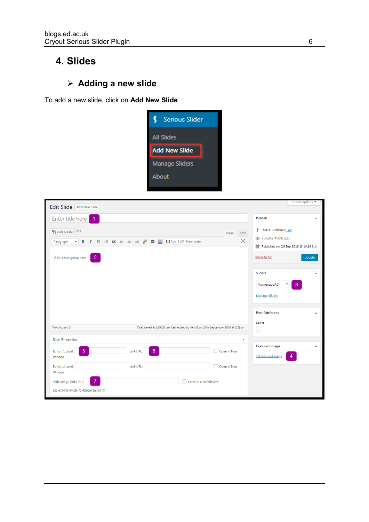## **4. Slides**

## ➢ **Adding a new slide**

To add a new slide, click on **Add New Slide**



| Edit Slide Add New Slide                                                                                                                                                                                               | Screen Options ▼                                                                                                                  |
|------------------------------------------------------------------------------------------------------------------------------------------------------------------------------------------------------------------------|-----------------------------------------------------------------------------------------------------------------------------------|
| Enter title here<br>$\overline{1}$                                                                                                                                                                                     | Publish<br>$\blacktriangle$                                                                                                       |
| <b>Q<sub>3</sub></b> Add Media (1)<br>Visual<br>Text<br>×<br>$I \equiv E$ $C \equiv \pm \equiv \mathcal{O}$ $\equiv$ $\equiv$ $I$ I Add BWS Shortcode<br>B<br>Paragraph<br>▼<br>$\overline{2}$<br>Add description here | <sup>9</sup> Status: Published Edit<br>Visibility: Public Edit<br>Published on: 26 Sep 2018 @ 14:19 Edit<br>Move to Bin<br>Update |
|                                                                                                                                                                                                                        | <b>Sliders</b><br>ᅀ<br>3<br>HomepageAD<br>۷<br><b>Manage Sliders</b>                                                              |
|                                                                                                                                                                                                                        | <b>Post Attributes</b><br>▲                                                                                                       |
| Word count: 3<br>Draft saved at 2:39:00 pm. Last edited by vletst1 on 26th September 2018 at 2:22 pm                                                                                                                   | Order<br>$\circ$                                                                                                                  |
| <b>Slide Properties</b><br>ᅀ                                                                                                                                                                                           |                                                                                                                                   |
| 5 <sup>5</sup><br>$6\phantom{1}$<br>Button 1 Label:<br>Link URL:<br>Open in New<br>Window                                                                                                                              | <b>Featured Image</b><br>▲<br>$\overline{4}$<br>Set featured image                                                                |
| Link URL:<br>Open in New<br><b>Button 2 Label:</b><br>Window                                                                                                                                                           |                                                                                                                                   |
| $\overline{7}$<br>Slide Image Link URL:<br>Open in New Window<br>Leave fields empty to disable elements.                                                                                                               |                                                                                                                                   |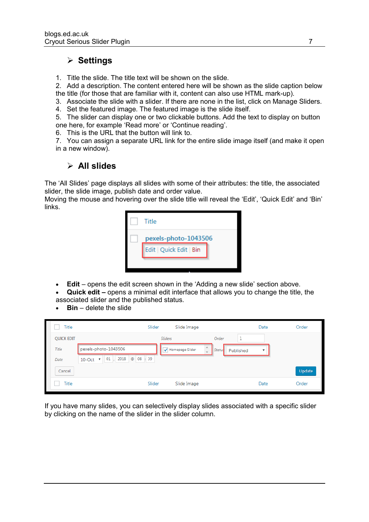#### ➢ **Settings**

1. Title the slide. The title text will be shown on the slide.

2. Add a description. The content entered here will be shown as the slide caption below the title (for those that are familiar with it, content can also use HTML mark-up).

- 3. Associate the slide with a slider. If there are none in the list, click on Manage Sliders.
- 4. Set the featured image. The featured image is the slide itself.

5. The slider can display one or two clickable buttons. Add the text to display on button one here, for example 'Read more' or 'Continue reading'.

- 6. This is the URL that the button will link to.
- 7. You can assign a separate URL link for the entire slide image itself (and make it open in a new window).

#### ➢ **All slides**

The 'All Slides' page displays all slides with some of their attributes: the title, the associated slider, the slide image, publish date and order value.

Moving the mouse and hovering over the slide title will reveal the 'Edit', 'Quick Edit' and 'Bin' links.



- **Edit** opens the edit screen shown in the 'Adding a new slide' section above.
- **Quick edit –** opens a minimal edit interface that allows you to change the title, the associated slider and the published status.
- **Bin**  delete the slide

| Title             |                                                 | Slider         | Slide Image     |                                    |           | Date                    | Order  |
|-------------------|-------------------------------------------------|----------------|-----------------|------------------------------------|-----------|-------------------------|--------|
| <b>QUICK EDIT</b> |                                                 | <b>Sliders</b> |                 | Order                              | и         |                         |        |
| Title             | pexels-photo-1043506                            |                | Homepage Slider | Statu:<br>$\overline{\phantom{a}}$ | Published | $\overline{\mathbf{v}}$ |        |
| Date              | @ 08 : 39<br>01, 2018<br>$10$ -Oct $\mathbf{v}$ |                |                 |                                    |           |                         |        |
| Cancel            |                                                 |                |                 |                                    |           |                         | Update |
| Title             |                                                 | Slider         | Slide Image     |                                    |           | Date                    | Order  |

If you have many slides, you can selectively display slides associated with a specific slider by clicking on the name of the slider in the slider column.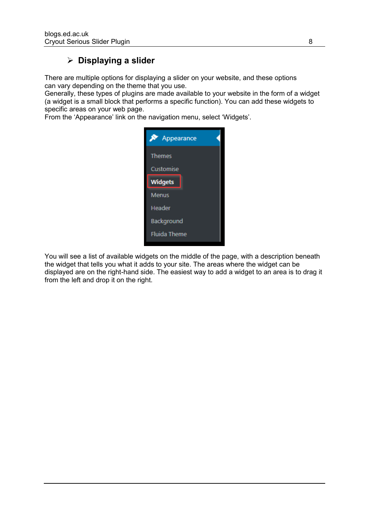#### ➢ **Displaying a slider**

There are multiple options for displaying a slider on your website, and these options can vary depending on the theme that you use.

Generally, these types of plugins are made available to your website in the form of a widget (a widget is a small block that performs a specific function). You can add these widgets to specific areas on your web page.

From the 'Appearance' link on the navigation menu, select 'Widgets'.



You will see a list of available widgets on the middle of the page, with a description beneath the widget that tells you what it adds to your site. The areas where the widget can be displayed are on the right-hand side. The easiest way to add a widget to an area is to drag it from the left and drop it on the right.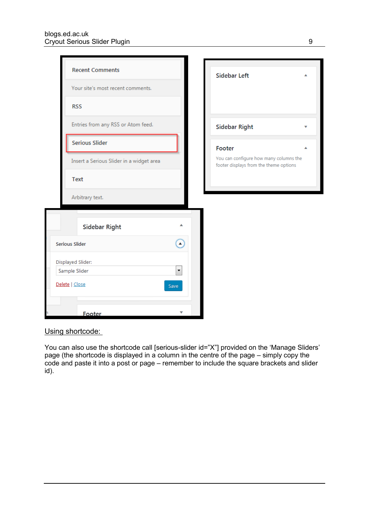| <b>Recent Comments</b><br>Your site's most recent comments. | <b>Sidebar Left</b>                                                              |
|-------------------------------------------------------------|----------------------------------------------------------------------------------|
| <b>RSS</b>                                                  |                                                                                  |
| Entries from any RSS or Atom feed.                          | <b>Sidebar Right</b>                                                             |
| <b>Serious Slider</b>                                       | Footer                                                                           |
| Insert a Serious Slider in a widget area                    | You can configure how many columns the<br>footer displays from the theme options |
| Text                                                        |                                                                                  |
| Arbitrary text.                                             |                                                                                  |
| Sidebar Right                                               |                                                                                  |
| A<br><b>Serious Slider</b>                                  |                                                                                  |
| Displayed Slider:                                           |                                                                                  |
| $\overline{\phantom{a}}$<br>Sample Slider                   |                                                                                  |
| Delete   Close<br>Save                                      |                                                                                  |
| Footer                                                      |                                                                                  |

#### Using shortcode:

You can also use the shortcode call [serious-slider id="X"] provided on the 'Manage Sliders' page (the shortcode is displayed in a column in the centre of the page – simply copy the code and paste it into a post or page – remember to include the square brackets and slider id).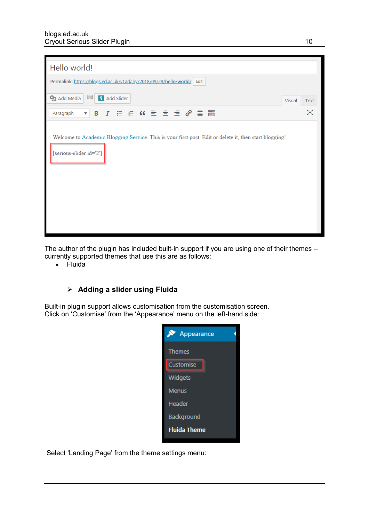| Hello world!                                                                                                                      |        |      |
|-----------------------------------------------------------------------------------------------------------------------------------|--------|------|
| Permalink: https://blogs.ed.ac.uk/v1adalry/2018/09/28/hello-world/ Edit                                                           |        |      |
| $(\!(\dot{z})\!)$<br>97 Add Media<br>S Add Slider                                                                                 | Visual | Text |
| ▼ B J H H K H m m m m m<br>Paragraph                                                                                              |        | ×    |
| Welcome to Academic Blogging Service. This is your first post. Edit or delete it, then start blogging!<br>[serious-slider id='2'] |        |      |

The author of the plugin has included built-in support if you are using one of their themes – currently supported themes that use this are as follows:

• Fluida

#### ➢ **Adding a slider using Fluida**

Built-in plugin support allows customisation from the customisation screen. Click on 'Customise' from the 'Appearance' menu on the left-hand side:



Select 'Landing Page' from the theme settings menu: